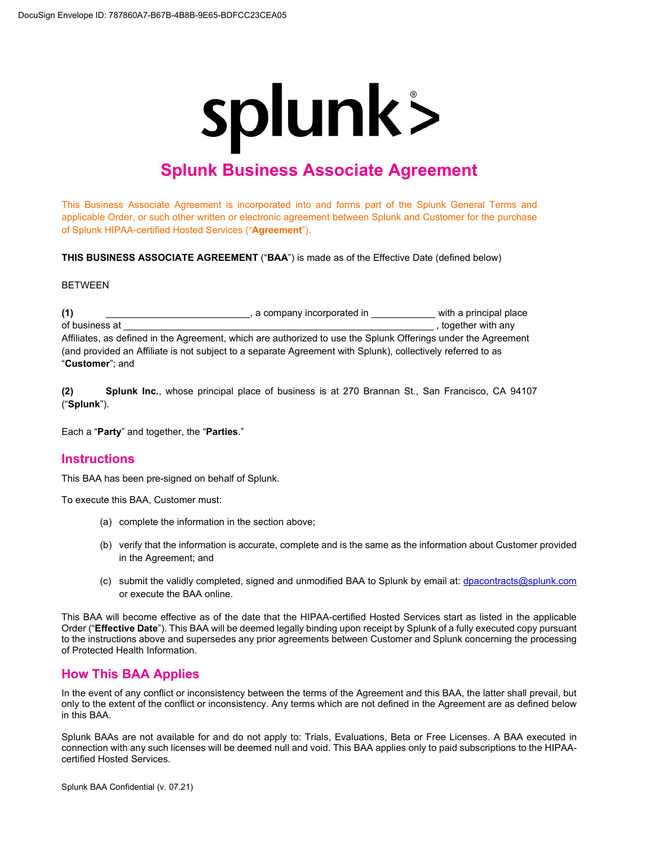# splunk>

# **Splunk Business Associate Agreement**

This Business Associate Agreement is incorporated into and forms part of the Splunk General Terms and applicable Order, or such other written or electronic agreement between Splunk and Customer for the purchase of Splunk HIPAA-certified Hosted Services ("**Agreement**").

**THIS BUSINESS ASSOCIATE AGREEMENT** ("**BAA**") is made as of the Effective Date (defined below)

#### **BETWEEN**

**(1)** \_\_\_\_\_\_\_\_\_\_\_\_\_\_\_\_\_\_\_\_\_\_\_\_\_\_\_, a company incorporated in \_\_\_\_\_\_\_\_\_\_\_\_ with a principal place of business at  $\Box$ Affiliates, as defined in the Agreement, which are authorized to use the Splunk Offerings under the Agreement (and provided an Affiliate is not subject to a separate Agreement with Splunk), collectively referred to as "**Customer**"; and

**(2) Splunk Inc.**, whose principal place of business is at 270 Brannan St., San Francisco, CA 94107 ("**Splunk**").

Each a "**Party**" and together, the "**Parties**."

#### **Instructions**

This BAA has been pre-signed on behalf of Splunk.

To execute this BAA, Customer must:

- (a) complete the information in the section above;
- (b) verify that the information is accurate, complete and is the same as the information about Customer provided in the Agreement; and
- (c) submit the validly completed, signed and unmodified BAA to Splunk by email at: [dpacontracts@splunk.com](mailto:dpacontracts@splunk.com) or execute the BAA online.

This BAA will become effective as of the date that the HIPAA-certified Hosted Services start as listed in the applicable Order ("**Effective Date**"). This BAA will be deemed legally binding upon receipt by Splunk of a fully executed copy pursuant to the instructions above and supersedes any prior agreements between Customer and Splunk concerning the processing of Protected Health Information.

## **How This BAA Applies**

In the event of any conflict or inconsistency between the terms of the Agreement and this BAA, the latter shall prevail, but only to the extent of the conflict or inconsistency. Any terms which are not defined in the Agreement are as defined below in this BAA.

Splunk BAAs are not available for and do not apply to: Trials, Evaluations, Beta or Free Licenses. A BAA executed in connection with any such licenses will be deemed null and void. This BAA applies only to paid subscriptions to the HIPAAcertified Hosted Services.

Splunk BAA Confidential (v. 07.21)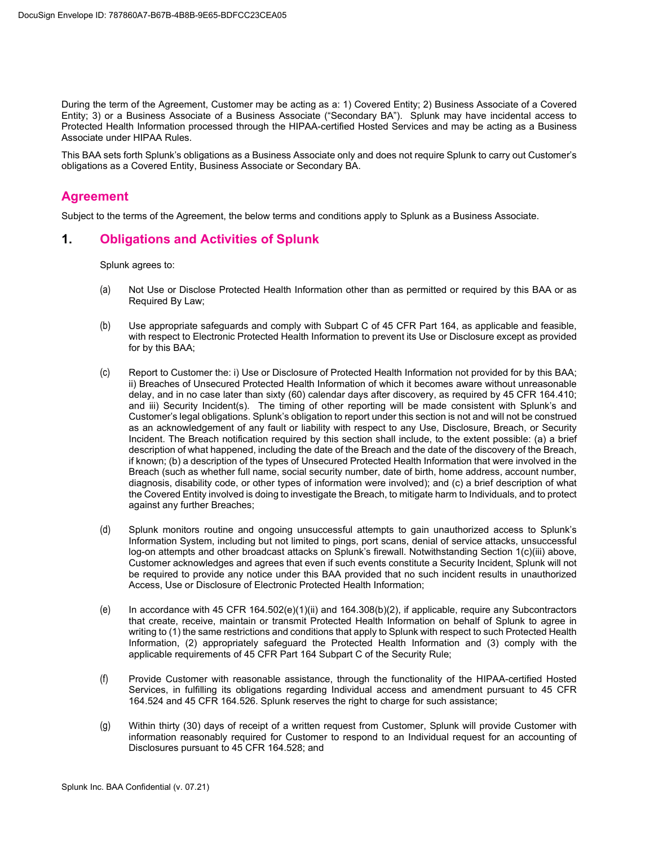During the term of the Agreement, Customer may be acting as a: 1) Covered Entity; 2) Business Associate of a Covered Entity; 3) or a Business Associate of a Business Associate ("Secondary BA"). Splunk may have incidental access to Protected Health Information processed through the HIPAA-certified Hosted Services and may be acting as a Business Associate under HIPAA Rules.

This BAA sets forth Splunk's obligations as a Business Associate only and does not require Splunk to carry out Customer's obligations as a Covered Entity, Business Associate or Secondary BA.

#### **Agreement**

Subject to the terms of the Agreement, the below terms and conditions apply to Splunk as a Business Associate.

#### **1. Obligations and Activities of Splunk**

Splunk agrees to:

- (a) Not Use or Disclose Protected Health Information other than as permitted or required by this BAA or as Required By Law;
- (b) Use appropriate safeguards and comply with Subpart C of 45 CFR Part 164, as applicable and feasible, with respect to Electronic Protected Health Information to prevent its Use or Disclosure except as provided for by this BAA;
- (c) Report to Customer the: i) Use or Disclosure of Protected Health Information not provided for by this BAA; ii) Breaches of Unsecured Protected Health Information of which it becomes aware without unreasonable delay, and in no case later than sixty (60) calendar days after discovery, as required by 45 CFR 164.410; and iii) Security Incident(s). The timing of other reporting will be made consistent with Splunk's and Customer's legal obligations. Splunk's obligation to report under this section is not and will not be construed as an acknowledgement of any fault or liability with respect to any Use, Disclosure, Breach, or Security Incident. The Breach notification required by this section shall include, to the extent possible: (a) a brief description of what happened, including the date of the Breach and the date of the discovery of the Breach, if known; (b) a description of the types of Unsecured Protected Health Information that were involved in the Breach (such as whether full name, social security number, date of birth, home address, account number, diagnosis, disability code, or other types of information were involved); and (c) a brief description of what the Covered Entity involved is doing to investigate the Breach, to mitigate harm to Individuals, and to protect against any further Breaches;
- (d) Splunk monitors routine and ongoing unsuccessful attempts to gain unauthorized access to Splunk's Information System, including but not limited to pings, port scans, denial of service attacks, unsuccessful log-on attempts and other broadcast attacks on Splunk's firewall. Notwithstanding Section 1(c)(iii) above, Customer acknowledges and agrees that even if such events constitute a Security Incident, Splunk will not be required to provide any notice under this BAA provided that no such incident results in unauthorized Access, Use or Disclosure of Electronic Protected Health Information;
- (e) In accordance with 45 CFR 164.502(e)(1)(ii) and 164.308(b)(2), if applicable, require any Subcontractors that create, receive, maintain or transmit Protected Health Information on behalf of Splunk to agree in writing to (1) the same restrictions and conditions that apply to Splunk with respect to such Protected Health Information, (2) appropriately safeguard the Protected Health Information and (3) comply with the applicable requirements of 45 CFR Part 164 Subpart C of the Security Rule;
- (f) Provide Customer with reasonable assistance, through the functionality of the HIPAA-certified Hosted Services, in fulfilling its obligations regarding Individual access and amendment pursuant to 45 CFR 164.524 and 45 CFR 164.526. Splunk reserves the right to charge for such assistance;
- (g) Within thirty (30) days of receipt of a written request from Customer, Splunk will provide Customer with information reasonably required for Customer to respond to an Individual request for an accounting of Disclosures pursuant to 45 CFR 164.528; and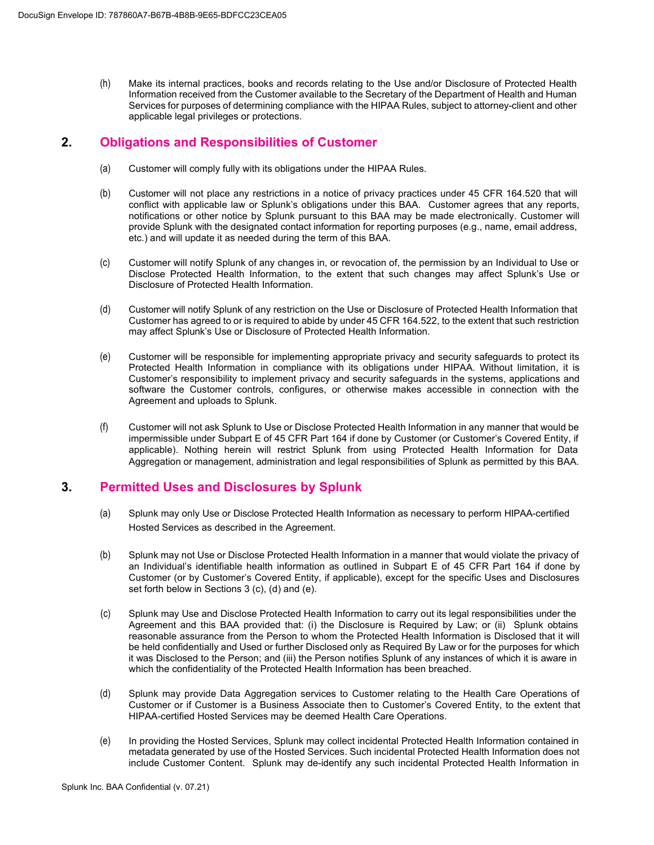(h) Make its internal practices, books and records relating to the Use and/or Disclosure of Protected Health Information received from the Customer available to the Secretary of the Department of Health and Human Services for purposes of determining compliance with the HIPAA Rules, subject to attorney-client and other applicable legal privileges or protections.

#### **2. Obligations and Responsibilities of Customer**

- (a) Customer will comply fully with its obligations under the HIPAA Rules.
- (b) Customer will not place any restrictions in a notice of privacy practices under 45 CFR 164.520 that will conflict with applicable law or Splunk's obligations under this BAA. Customer agrees that any reports, notifications or other notice by Splunk pursuant to this BAA may be made electronically. Customer will provide Splunk with the designated contact information for reporting purposes (e.g., name, email address, etc.) and will update it as needed during the term of this BAA.
- (c) Customer will notify Splunk of any changes in, or revocation of, the permission by an Individual to Use or Disclose Protected Health Information, to the extent that such changes may affect Splunk's Use or Disclosure of Protected Health Information.
- (d) Customer will notify Splunk of any restriction on the Use or Disclosure of Protected Health Information that Customer has agreed to or is required to abide by under 45 CFR 164.522, to the extent that such restriction may affect Splunk's Use or Disclosure of Protected Health Information.
- (e) Customer will be responsible for implementing appropriate privacy and security safeguards to protect its Protected Health Information in compliance with its obligations under HIPAA. Without limitation, it is Customer's responsibility to implement privacy and security safeguards in the systems, applications and software the Customer controls, configures, or otherwise makes accessible in connection with the Agreement and uploads to Splunk.
- (f) Customer will not ask Splunk to Use or Disclose Protected Health Information in any manner that would be impermissible under Subpart E of 45 CFR Part 164 if done by Customer (or Customer's Covered Entity, if applicable). Nothing herein will restrict Splunk from using Protected Health Information for Data Aggregation or management, administration and legal responsibilities of Splunk as permitted by this BAA.

## **3. Permitted Uses and Disclosures by Splunk**

- (a) Splunk may only Use or Disclose Protected Health Information as necessary to perform HIPAA-certified Hosted Services as described in the Agreement.
- (b) Splunk may not Use or Disclose Protected Health Information in a manner that would violate the privacy of an Individual's identifiable health information as outlined in Subpart E of 45 CFR Part 164 if done by Customer (or by Customer's Covered Entity, if applicable), except for the specific Uses and Disclosures set forth below in Sections 3 (c), (d) and (e).
- (c) Splunk may Use and Disclose Protected Health Information to carry out its legal responsibilities under the Agreement and this BAA provided that: (i) the Disclosure is Required by Law; or (ii) Splunk obtains reasonable assurance from the Person to whom the Protected Health Information is Disclosed that it will be held confidentially and Used or further Disclosed only as Required By Law or for the purposes for which it was Disclosed to the Person; and (iii) the Person notifies Splunk of any instances of which it is aware in which the confidentiality of the Protected Health Information has been breached.
- (d) Splunk may provide Data Aggregation services to Customer relating to the Health Care Operations of Customer or if Customer is a Business Associate then to Customer's Covered Entity, to the extent that HIPAA-certified Hosted Services may be deemed Health Care Operations.
- (e) In providing the Hosted Services, Splunk may collect incidental Protected Health Information contained in metadata generated by use of the Hosted Services. Such incidental Protected Health Information does not include Customer Content. Splunk may de-identify any such incidental Protected Health Information in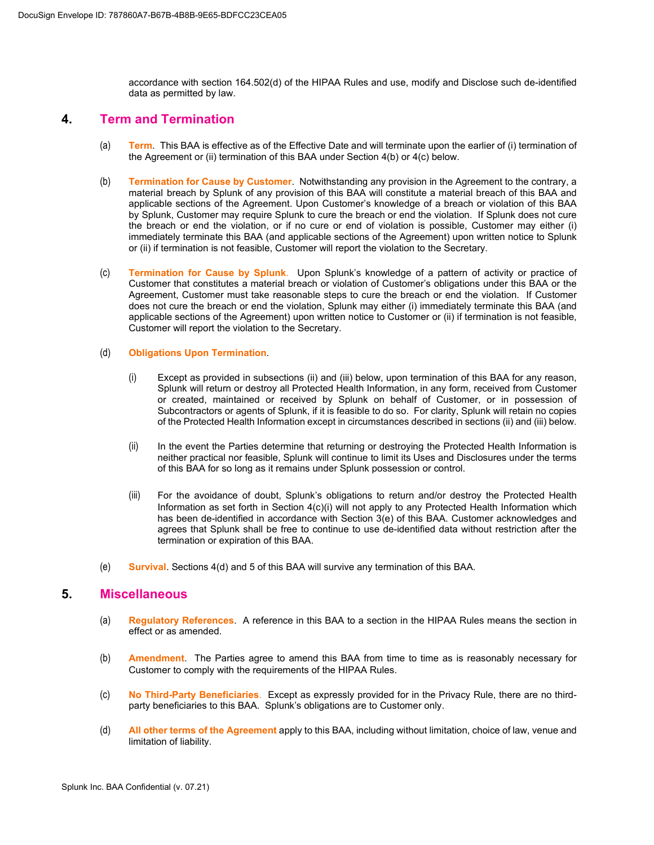accordance with section 164.502(d) of the HIPAA Rules and use, modify and Disclose such de-identified data as permitted by law.

#### **4. Term and Termination**

- (a) **Term**. This BAA is effective as of the Effective Date and will terminate upon the earlier of (i) termination of the Agreement or (ii) termination of this BAA under Section 4(b) or 4(c) below.
- (b) **Termination for Cause by Customer**. Notwithstanding any provision in the Agreement to the contrary, a material breach by Splunk of any provision of this BAA will constitute a material breach of this BAA and applicable sections of the Agreement. Upon Customer's knowledge of a breach or violation of this BAA by Splunk, Customer may require Splunk to cure the breach or end the violation. If Splunk does not cure the breach or end the violation, or if no cure or end of violation is possible, Customer may either (i) immediately terminate this BAA (and applicable sections of the Agreement) upon written notice to Splunk or (ii) if termination is not feasible, Customer will report the violation to the Secretary.
- (c) **Termination for Cause by Splunk**. Upon Splunk's knowledge of a pattern of activity or practice of Customer that constitutes a material breach or violation of Customer's obligations under this BAA or the Agreement, Customer must take reasonable steps to cure the breach or end the violation. If Customer does not cure the breach or end the violation, Splunk may either (i) immediately terminate this BAA (and applicable sections of the Agreement) upon written notice to Customer or (ii) if termination is not feasible, Customer will report the violation to the Secretary.

#### (d) **Obligations Upon Termination**.

- (i) Except as provided in subsections (ii) and (iii) below, upon termination of this BAA for any reason, Splunk will return or destroy all Protected Health Information, in any form, received from Customer or created, maintained or received by Splunk on behalf of Customer, or in possession of Subcontractors or agents of Splunk, if it is feasible to do so. For clarity, Splunk will retain no copies of the Protected Health Information except in circumstances described in sections (ii) and (iii) below.
- (ii) In the event the Parties determine that returning or destroying the Protected Health Information is neither practical nor feasible, Splunk will continue to limit its Uses and Disclosures under the terms of this BAA for so long as it remains under Splunk possession or control.
- (iii) For the avoidance of doubt, Splunk's obligations to return and/or destroy the Protected Health Information as set forth in Section 4(c)(i) will not apply to any Protected Health Information which has been de-identified in accordance with Section 3(e) of this BAA. Customer acknowledges and agrees that Splunk shall be free to continue to use de-identified data without restriction after the termination or expiration of this BAA.
- (e) **Survival**. Sections 4(d) and 5 of this BAA will survive any termination of this BAA.

#### **5. Miscellaneous**

- (a) **Regulatory References**. A reference in this BAA to a section in the HIPAA Rules means the section in effect or as amended.
- (b) **Amendment**. The Parties agree to amend this BAA from time to time as is reasonably necessary for Customer to comply with the requirements of the HIPAA Rules.
- (c) **No Third-Party Beneficiaries**. Except as expressly provided for in the Privacy Rule, there are no thirdparty beneficiaries to this BAA. Splunk's obligations are to Customer only.
- (d) **All other terms of the Agreement** apply to this BAA, including without limitation, choice of law, venue and limitation of liability.